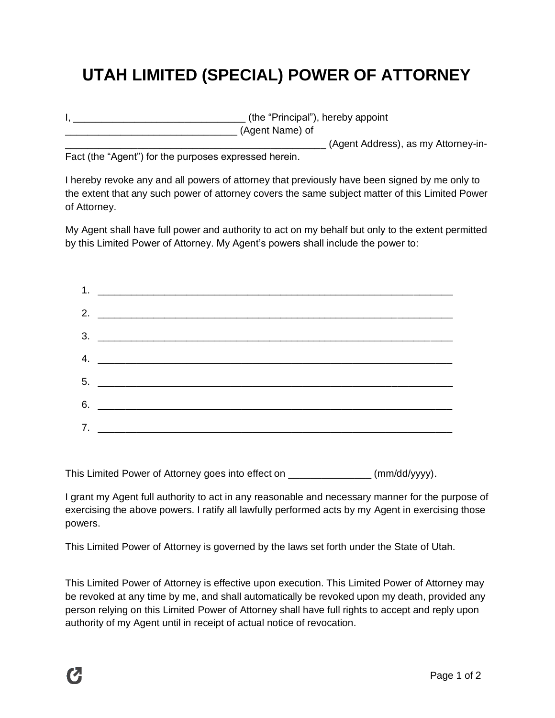## **UTAH LIMITED (SPECIAL) POWER OF ATTORNEY**

| (the "Principal"), hereby appoint   |
|-------------------------------------|
| (Agent Name) of                     |
| (Agent Address), as my Attorney-in- |

Fact (the "Agent") for the purposes expressed herein.

I hereby revoke any and all powers of attorney that previously have been signed by me only to the extent that any such power of attorney covers the same subject matter of this Limited Power of Attorney.

My Agent shall have full power and authority to act on my behalf but only to the extent permitted by this Limited Power of Attorney. My Agent's powers shall include the power to:

This Limited Power of Attorney goes into effect on \_\_\_\_\_\_\_\_\_\_\_\_\_\_\_ (mm/dd/yyyy).

I grant my Agent full authority to act in any reasonable and necessary manner for the purpose of exercising the above powers. I ratify all lawfully performed acts by my Agent in exercising those powers.

This Limited Power of Attorney is governed by the laws set forth under the State of Utah.

This Limited Power of Attorney is effective upon execution. This Limited Power of Attorney may be revoked at any time by me, and shall automatically be revoked upon my death, provided any person relying on this Limited Power of Attorney shall have full rights to accept and reply upon authority of my Agent until in receipt of actual notice of revocation.